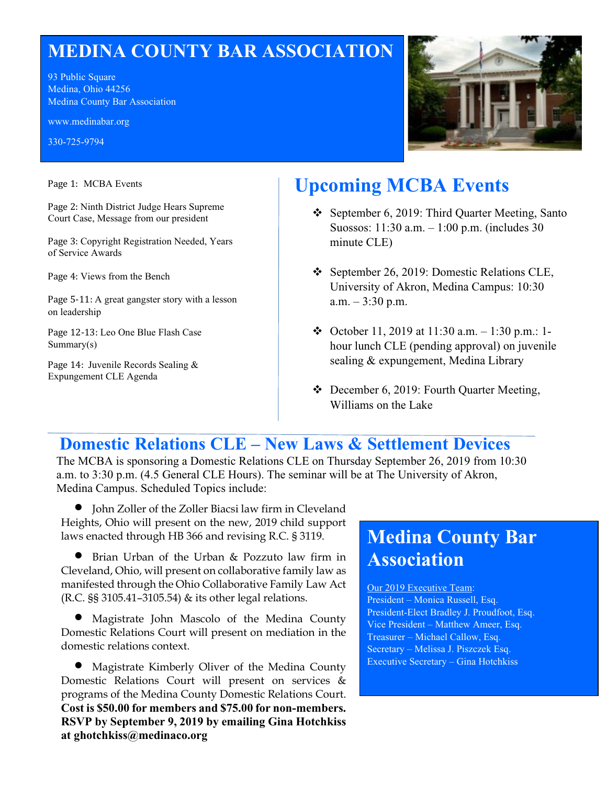## **MEDINA COUNTY BAR ASSOCIATION**

93 Public Square Medina, Ohio 44256 Medina County Bar Association

www.medinabar.org

330-725-9794

Page 1: MCBA Events

Page 2: Ninth District Judge Hears Supreme Court Case, Message from our president

Page 3: Copyright Registration Needed, Years of Service Awards

Page 4: Views from the Bench

Page 5-11: A great gangster story with a lesson on leadership

Page 12-13: Leo One Blue Flash Case Summary(s)

Page 14: Juvenile Records Sealing & Expungement CLE Agenda



# **Upcoming MCBA Events**

- September 6, 2019: Third Quarter Meeting, Santo Suossos: 11:30 a.m. – 1:00 p.m. (includes 30 minute CLE)
- September 26, 2019: Domestic Relations CLE, University of Akron, Medina Campus: 10:30  $a.m. - 3:30$  p.m.
- October 11, 2019 at 11:30 a.m.  $-1:30$  p.m.: 1hour lunch CLE (pending approval) on juvenile sealing & expungement, Medina Library
- December 6, 2019: Fourth Quarter Meeting, Williams on the Lake

### **Domestic Relations CLE – New Laws & Settlement Devices**

The MCBA is sponsoring a Domestic Relations CLE on Thursday September 26, 2019 from 10:30 a.m. to 3:30 p.m. (4.5 General CLE Hours). The seminar will be at The University of Akron, Medina Campus. Scheduled Topics include:

• John Zoller of the Zoller Biacsi law firm in Cleveland Heights, Ohio will present on the new, 2019 child support laws enacted through HB 366 and revising R.C. § 3119.

• Brian Urban of the Urban & Pozzuto law firm in Cleveland, Ohio, will present on collaborative family law as manifested through the Ohio Collaborative Family Law Act (R.C. §§ 3105.41–3105.54) & its other legal relations.

• Magistrate John Mascolo of the Medina County Domestic Relations Court will present on mediation in the domestic relations context.

• Magistrate Kimberly Oliver of the Medina County Domestic Relations Court will present on services & programs of the Medina County Domestic Relations Court. **Cost is \$50.00 for members and \$75.00 for non-members. RSVP by September 9, 2019 by emailing Gina Hotchkiss at ghotchkiss@medinaco.org**

## **Medina County Bar Association**

#### Our 2019 Executive Team:

President – Monica Russell, Esq. President-Elect Bradley J. Proudfoot, Esq. Vice President – Matthew Ameer, Esq. Treasurer – Michael Callow, Esq. Secretary – Melissa J. Piszczek Esq. Executive Secretary – Gina Hotchkiss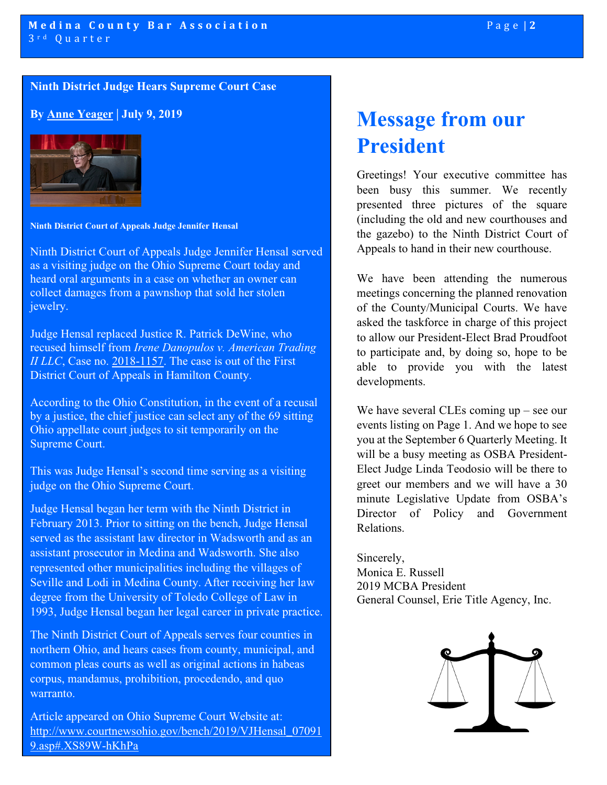#### **Ninth District Judge Hears Supreme Court Case**

**By [Anne Yeager](mailto:Anne.Yeager@sc.ohio.gov) | July 9, 2019**



**Ninth District Court of Appeals Judge Jennifer Hensal**

Ninth District Court of Appeals Judge Jennifer Hensal served as a visiting judge on the Ohio Supreme Court today and heard oral arguments in a case on whether an owner can collect damages from a pawnshop that sold her stolen jewelry.

Judge Hensal replaced Justice R. Patrick DeWine, who recused himself from *Irene Danopulos v. American Trading II LLC*, Case no. [2018-1157.](https://www.supremecourt.ohio.gov/Clerk/ecms/#/caseinfo/2018/1157) The case is out of the First District Court of Appeals in Hamilton County.

According to the Ohio Constitution, in the event of a recusal by a justice, the chief justice can select any of the 69 sitting Ohio appellate court judges to sit temporarily on the Supreme Court.

This was Judge Hensal's second time serving as a visiting judge on the Ohio Supreme Court.

Judge Hensal began her term with the Ninth District in February 2013. Prior to sitting on the bench, Judge Hensal served as the assistant law director in Wadsworth and as an assistant prosecutor in Medina and Wadsworth. She also represented other municipalities including the villages of Seville and Lodi in Medina County. After receiving her law degree from the University of Toledo College of Law in 1993, Judge Hensal began her legal career in private practice.

The Ninth District Court of Appeals serves four counties in northern Ohio, and hears cases from county, municipal, and common pleas courts as well as original actions in habeas corpus, mandamus, prohibition, procedendo, and quo warranto.

Article appeared on Ohio Supreme Court Website at: [http://www.courtnewsohio.gov/bench/2019/VJHensal\\_07091](http://www.courtnewsohio.gov/bench/2019/VJHensal_070919.asp#.XS89W-hKhPa) [9.asp#.XS89W-hKhPa](http://www.courtnewsohio.gov/bench/2019/VJHensal_070919.asp#.XS89W-hKhPa)

# **Message from our President**

Greetings! Your executive committee has been busy this summer. We recently presented three pictures of the square (including the old and new courthouses and the gazebo) to the Ninth District Court of Appeals to hand in their new courthouse.

We have been attending the numerous meetings concerning the planned renovation of the County/Municipal Courts. We have asked the taskforce in charge of this project to allow our President-Elect Brad Proudfoot to participate and, by doing so, hope to be able to provide you with the latest developments.

We have several CLEs coming up – see our events listing on Page 1. And we hope to see you at the September 6 Quarterly Meeting. It will be a busy meeting as OSBA President-Elect Judge Linda Teodosio will be there to greet our members and we will have a 30 minute Legislative Update from OSBA's Director of Policy and Government Relations.

Sincerely, Monica E. Russell 2019 MCBA President General Counsel, Erie Title Agency, Inc.

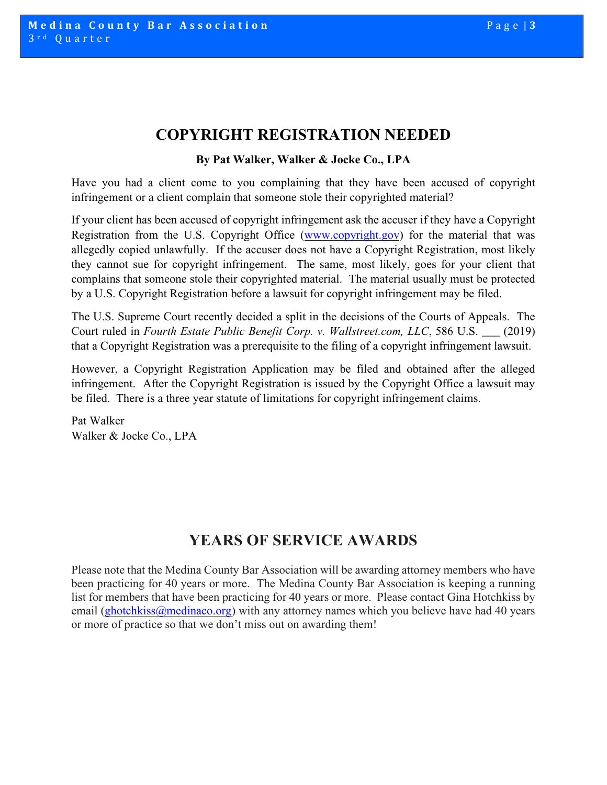### **COPYRIGHT REGISTRATION NEEDED**

#### **By Pat Walker, Walker & Jocke Co., LPA**

Have you had a client come to you complaining that they have been accused of copyright infringement or a client complain that someone stole their copyrighted material?

If your client has been accused of copyright infringement ask the accuser if they have a Copyright Registration from the U.S. Copyright Office [\(www.copyright.gov\)](http://www.copyright.gov/) for the material that was allegedly copied unlawfully. If the accuser does not have a Copyright Registration, most likely they cannot sue for copyright infringement. The same, most likely, goes for your client that complains that someone stole their copyrighted material. The material usually must be protected by a U.S. Copyright Registration before a lawsuit for copyright infringement may be filed.

The U.S. Supreme Court recently decided a split in the decisions of the Courts of Appeals. The Court ruled in *Fourth Estate Public Benefit Corp. v. Wallstreet.com, LLC*, 586 U.S. \_\_\_ (2019) that a Copyright Registration was a prerequisite to the filing of a copyright infringement lawsuit.

However, a Copyright Registration Application may be filed and obtained after the alleged infringement. After the Copyright Registration is issued by the Copyright Office a lawsuit may be filed. There is a three year statute of limitations for copyright infringement claims.

Pat Walker Walker & Jocke Co., LPA

### **YEARS OF SERVICE AWARDS**

Please note that the Medina County Bar Association will be awarding attorney members who have been practicing for 40 years or more. The Medina County Bar Association is keeping a running list for members that have been practicing for 40 years or more. Please contact Gina Hotchkiss by email [\(ghotchkiss@medinaco.org\)](mailto:ghotchkiss@medinaco.org) with any attorney names which you believe have had 40 years or more of practice so that we don't miss out on awarding them!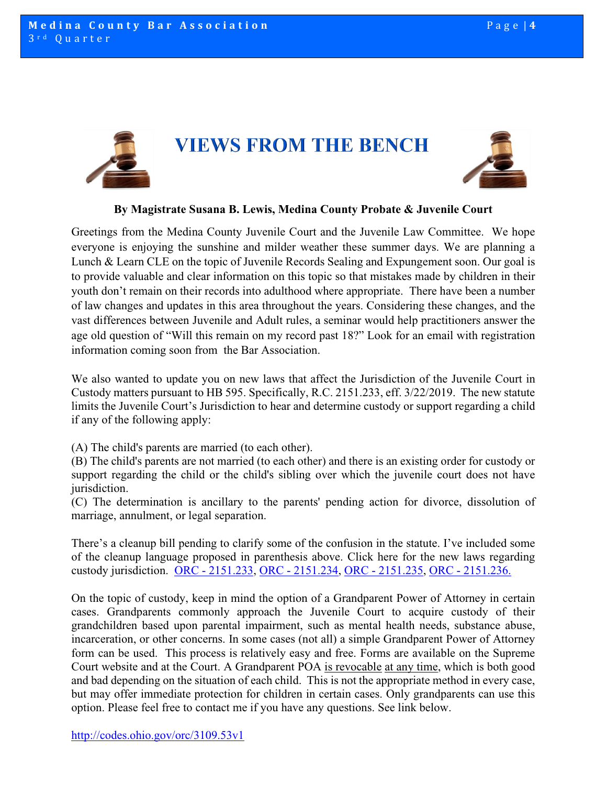



#### **By Magistrate Susana B. Lewis, Medina County Probate & Juvenile Court**

Greetings from the Medina County Juvenile Court and the Juvenile Law Committee. We hope everyone is enjoying the sunshine and milder weather these summer days. We are planning a Lunch & Learn CLE on the topic of Juvenile Records Sealing and Expungement soon. Our goal is to provide valuable and clear information on this topic so that mistakes made by children in their youth don't remain on their records into adulthood where appropriate. There have been a number of law changes and updates in this area throughout the years. Considering these changes, and the vast differences between Juvenile and Adult rules, a seminar would help practitioners answer the age old question of "Will this remain on my record past 18?" Look for an email with registration information coming soon from the Bar Association.

We also wanted to update you on new laws that affect the Jurisdiction of the Juvenile Court in Custody matters pursuant to HB 595. Specifically, R.C. 2151.233, eff. 3/22/2019. The new statute limits the Juvenile Court's Jurisdiction to hear and determine custody or support regarding a child if any of the following apply:

(A) The child's parents are married (to each other).

(B) The child's parents are not married (to each other) and there is an existing order for custody or support regarding the child or the child's sibling over which the juvenile court does not have jurisdiction.

(C) The determination is ancillary to the parents' pending action for divorce, dissolution of marriage, annulment, or legal separation.

There's a cleanup bill pending to clarify some of the confusion in the statute. I've included some of the cleanup language proposed in parenthesis above. Click here for the new laws regarding custody jurisdiction. ORC - [2151.233,](http://codes.ohio.gov/orc/2151.233) ORC - [2151.234,](http://codes.ohio.gov/orc/2151.234) ORC - [2151.235,](http://codes.ohio.gov/orc/2151.235) ORC - [2151.236.](http://codes.ohio.gov/orc/2151.236)

On the topic of custody, keep in mind the option of a Grandparent Power of Attorney in certain cases. Grandparents commonly approach the Juvenile Court to acquire custody of their grandchildren based upon parental impairment, such as mental health needs, substance abuse, incarceration, or other concerns. In some cases (not all) a simple Grandparent Power of Attorney form can be used. This process is relatively easy and free. Forms are available on the Supreme Court website and at the Court. A Grandparent POA is revocable at any time, which is both good and bad depending on the situation of each child. This is not the appropriate method in every case, but may offer immediate protection for children in certain cases. Only grandparents can use this option. Please feel free to contact me if you have any questions. See link below.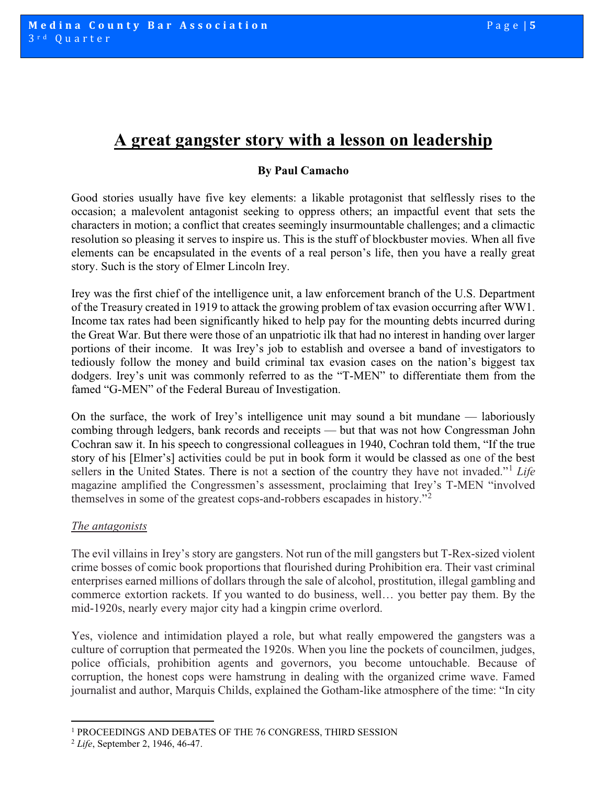### **A great gangster story with a lesson on leadership**

#### **By Paul Camacho**

Good stories usually have five key elements: a likable protagonist that selflessly rises to the occasion; a malevolent antagonist seeking to oppress others; an impactful event that sets the characters in motion; a conflict that creates seemingly insurmountable challenges; and a climactic resolution so pleasing it serves to inspire us. This is the stuff of blockbuster movies. When all five elements can be encapsulated in the events of a real person's life, then you have a really great story. Such is the story of Elmer Lincoln Irey.

Irey was the first chief of the intelligence unit, a law enforcement branch of the U.S. Department of the Treasury created in 1919 to attack the growing problem of tax evasion occurring after WW1. Income tax rates had been significantly hiked to help pay for the mounting debts incurred during the Great War. But there were those of an unpatriotic ilk that had no interest in handing over larger portions of their income. It was Irey's job to establish and oversee a band of investigators to tediously follow the money and build criminal tax evasion cases on the nation's biggest tax dodgers. Irey's unit was commonly referred to as the "T-MEN" to differentiate them from the famed "G-MEN" of the Federal Bureau of Investigation.

On the surface, the work of Irey's intelligence unit may sound a bit mundane — laboriously combing through ledgers, bank records and receipts — but that was not how Congressman John Cochran saw it. In his speech to congressional colleagues in 1940, Cochran told them, "If the true story of his [Elmer's] activities could be put in book form it would be classed as one of the best sellers in the United States. There is not a section of the country they have not invaded."[1](#page-4-0) *Life* magazine amplified the Congressmen's assessment, proclaiming that Irey's T-MEN "involved themselves in some of the greatest cops-and-robbers escapades in history."<sup>[2](#page-4-1)</sup>

#### *The antagonists*

The evil villains in Irey's story are gangsters. Not run of the mill gangsters but T-Rex-sized violent crime bosses of comic book proportions that flourished during Prohibition era. Their vast criminal enterprises earned millions of dollars through the sale of alcohol, prostitution, illegal gambling and commerce extortion rackets. If you wanted to do business, well… you better pay them. By the mid-1920s, nearly every major city had a kingpin crime overlord.

Yes, violence and intimidation played a role, but what really empowered the gangsters was a culture of corruption that permeated the 1920s. When you line the pockets of councilmen, judges, police officials, prohibition agents and governors, you become untouchable. Because of corruption, the honest cops were hamstrung in dealing with the organized crime wave. Famed journalist and author, Marquis Childs, explained the Gotham-like atmosphere of the time: "In city

<span id="page-4-0"></span><sup>1</sup> PROCEEDINGS AND DEBATES OF THE 76 CONGRESS, THIRD SESSION

<span id="page-4-1"></span><sup>2</sup> *Life*, September 2, 1946, 46-47.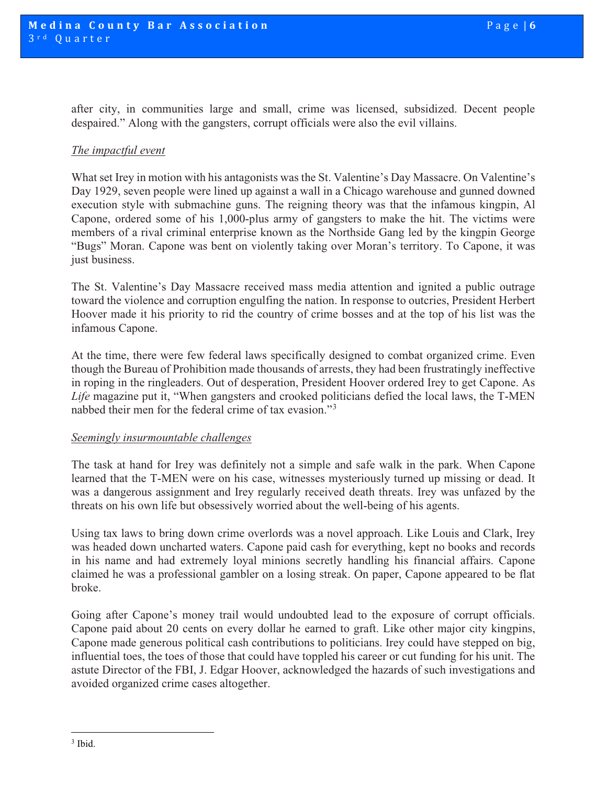after city, in communities large and small, crime was licensed, subsidized. Decent people despaired." Along with the gangsters, corrupt officials were also the evil villains.

#### *The impactful event*

What set Irey in motion with his antagonists was the St. Valentine's Day Massacre. On Valentine's Day 1929, seven people were lined up against a wall in a Chicago warehouse and gunned downed execution style with submachine guns. The reigning theory was that the infamous kingpin, Al Capone, ordered some of his 1,000-plus army of gangsters to make the hit. The victims were members of a rival criminal enterprise known as the Northside Gang led by the kingpin George "Bugs" Moran. Capone was bent on violently taking over Moran's territory. To Capone, it was just business.

The St. Valentine's Day Massacre received mass media attention and ignited a public outrage toward the violence and corruption engulfing the nation. In response to outcries, President Herbert Hoover made it his priority to rid the country of crime bosses and at the top of his list was the infamous Capone.

At the time, there were few federal laws specifically designed to combat organized crime. Even though the Bureau of Prohibition made thousands of arrests, they had been frustratingly ineffective in roping in the ringleaders. Out of desperation, President Hoover ordered Irey to get Capone. As *Life* magazine put it, "When gangsters and crooked politicians defied the local laws, the T-MEN nabbed their men for the federal crime of tax evasion."[3](#page-5-0)

#### *Seemingly insurmountable challenges*

The task at hand for Irey was definitely not a simple and safe walk in the park. When Capone learned that the T-MEN were on his case, witnesses mysteriously turned up missing or dead. It was a dangerous assignment and Irey regularly received death threats. Irey was unfazed by the threats on his own life but obsessively worried about the well-being of his agents.

Using tax laws to bring down crime overlords was a novel approach. Like Louis and Clark, Irey was headed down uncharted waters. Capone paid cash for everything, kept no books and records in his name and had extremely loyal minions secretly handling his financial affairs. Capone claimed he was a professional gambler on a losing streak. On paper, Capone appeared to be flat broke.

<span id="page-5-0"></span>Going after Capone's money trail would undoubted lead to the exposure of corrupt officials. Capone paid about 20 cents on every dollar he earned to graft. Like other major city kingpins, Capone made generous political cash contributions to politicians. Irey could have stepped on big, influential toes, the toes of those that could have toppled his career or cut funding for his unit. The astute Director of the FBI, J. Edgar Hoover, acknowledged the hazards of such investigations and avoided organized crime cases altogether.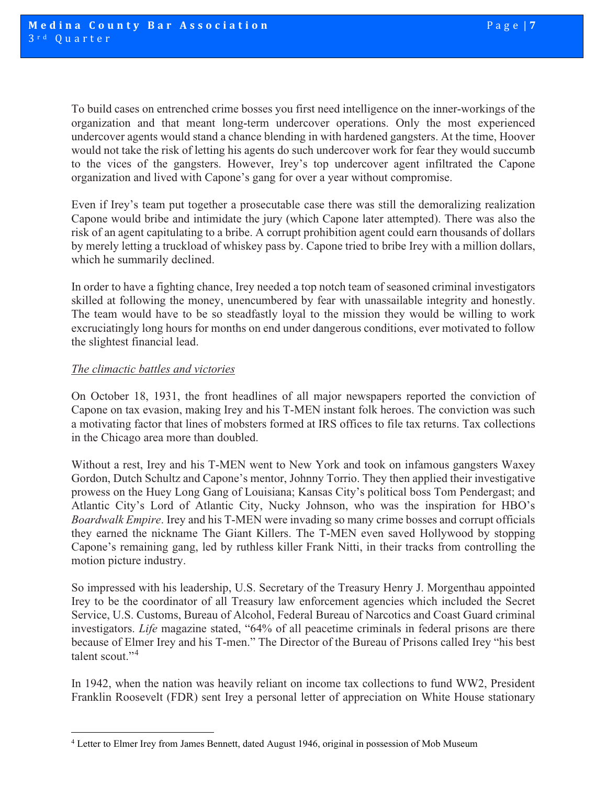To build cases on entrenched crime bosses you first need intelligence on the inner-workings of the organization and that meant long-term undercover operations. Only the most experienced undercover agents would stand a chance blending in with hardened gangsters. At the time, Hoover would not take the risk of letting his agents do such undercover work for fear they would succumb to the vices of the gangsters. However, Irey's top undercover agent infiltrated the Capone organization and lived with Capone's gang for over a year without compromise.

Even if Irey's team put together a prosecutable case there was still the demoralizing realization Capone would bribe and intimidate the jury (which Capone later attempted). There was also the risk of an agent capitulating to a bribe. A corrupt prohibition agent could earn thousands of dollars by merely letting a truckload of whiskey pass by. Capone tried to bribe Irey with a million dollars, which he summarily declined.

In order to have a fighting chance, Irey needed a top notch team of seasoned criminal investigators skilled at following the money, unencumbered by fear with unassailable integrity and honestly. The team would have to be so steadfastly loyal to the mission they would be willing to work excruciatingly long hours for months on end under dangerous conditions, ever motivated to follow the slightest financial lead.

#### *The climactic battles and victories*

On October 18, 1931, the front headlines of all major newspapers reported the conviction of Capone on tax evasion, making Irey and his T-MEN instant folk heroes. The conviction was such a motivating factor that lines of mobsters formed at IRS offices to file tax returns. Tax collections in the Chicago area more than doubled.

Without a rest, Irey and his T-MEN went to New York and took on infamous gangsters Waxey Gordon, Dutch Schultz and Capone's mentor, Johnny Torrio. They then applied their investigative prowess on the Huey Long Gang of Louisiana; Kansas City's political boss Tom Pendergast; and Atlantic City's Lord of Atlantic City, Nucky Johnson, who was the inspiration for HBO's *Boardwalk Empire*. Irey and his T-MEN were invading so many crime bosses and corrupt officials they earned the nickname The Giant Killers. The T-MEN even saved Hollywood by stopping Capone's remaining gang, led by ruthless killer Frank Nitti, in their tracks from controlling the motion picture industry.

So impressed with his leadership, U.S. Secretary of the Treasury Henry J. Morgenthau appointed Irey to be the coordinator of all Treasury law enforcement agencies which included the Secret Service, U.S. Customs, Bureau of Alcohol, Federal Bureau of Narcotics and Coast Guard criminal investigators. *Life* magazine stated, "64% of all peacetime criminals in federal prisons are there because of Elmer Irey and his T-men." The Director of the Bureau of Prisons called Irey "his best talent scout."[4](#page-6-0)

In 1942, when the nation was heavily reliant on income tax collections to fund WW2, President Franklin Roosevelt (FDR) sent Irey a personal letter of appreciation on White House stationary

<span id="page-6-0"></span><sup>4</sup> Letter to Elmer Irey from James Bennett, dated August 1946, original in possession of Mob Museum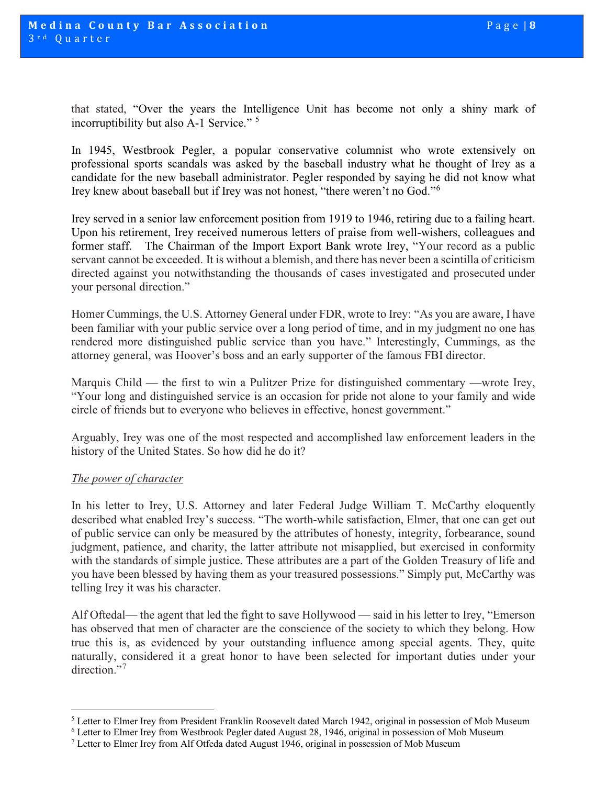that stated, "Over the years the Intelligence Unit has become not only a shiny mark of incorruptibility but also A-1 Service." [5](#page-7-0)

In 1945, Westbrook Pegler, a popular conservative columnist who wrote extensively on professional sports scandals was asked by the baseball industry what he thought of Irey as a candidate for the new baseball administrator. Pegler responded by saying he did not know what Irey knew about baseball but if Irey was not honest, "there weren't no God."[6](#page-7-1)

Irey served in a senior law enforcement position from 1919 to 1946, retiring due to a failing heart. Upon his retirement, Irey received numerous letters of praise from well-wishers, colleagues and former staff. The Chairman of the Import Export Bank wrote Irey, "Your record as a public servant cannot be exceeded. It is without a blemish, and there has never been a scintilla of criticism directed against you notwithstanding the thousands of cases investigated and prosecuted under your personal direction."

Homer Cummings, the U.S. Attorney General under FDR, wrote to Irey: "As you are aware, I have been familiar with your public service over a long period of time, and in my judgment no one has rendered more distinguished public service than you have." Interestingly, Cummings, as the attorney general, was Hoover's boss and an early supporter of the famous FBI director.

Marquis Child — the first to win a Pulitzer Prize for distinguished commentary —wrote Irey, "Your long and distinguished service is an occasion for pride not alone to your family and wide circle of friends but to everyone who believes in effective, honest government."

Arguably, Irey was one of the most respected and accomplished law enforcement leaders in the history of the United States. So how did he do it?

#### *The power of character*

In his letter to Irey, U.S. Attorney and later Federal Judge William T. McCarthy eloquently described what enabled Irey's success. "The worth-while satisfaction, Elmer, that one can get out of public service can only be measured by the attributes of honesty, integrity, forbearance, sound judgment, patience, and charity, the latter attribute not misapplied, but exercised in conformity with the standards of simple justice. These attributes are a part of the Golden Treasury of life and you have been blessed by having them as your treasured possessions." Simply put, McCarthy was telling Irey it was his character.

Alf Oftedal— the agent that led the fight to save Hollywood — said in his letter to Irey, "Emerson has observed that men of character are the conscience of the society to which they belong. How true this is, as evidenced by your outstanding influence among special agents. They, quite naturally, considered it a great honor to have been selected for important duties under your direction."<sup>[7](#page-7-2)</sup>

<sup>5</sup> Letter to Elmer Irey from President Franklin Roosevelt dated March 1942, original in possession of Mob Museum

<span id="page-7-2"></span><span id="page-7-1"></span><span id="page-7-0"></span><sup>&</sup>lt;sup>6</sup> Letter to Elmer Irey from Westbrook Pegler dated August 28, 1946, original in possession of Mob Museum  $^7$  Letter to Elmer Irey from Alf Otfeda dated August 1946, original in possession of Mob Museum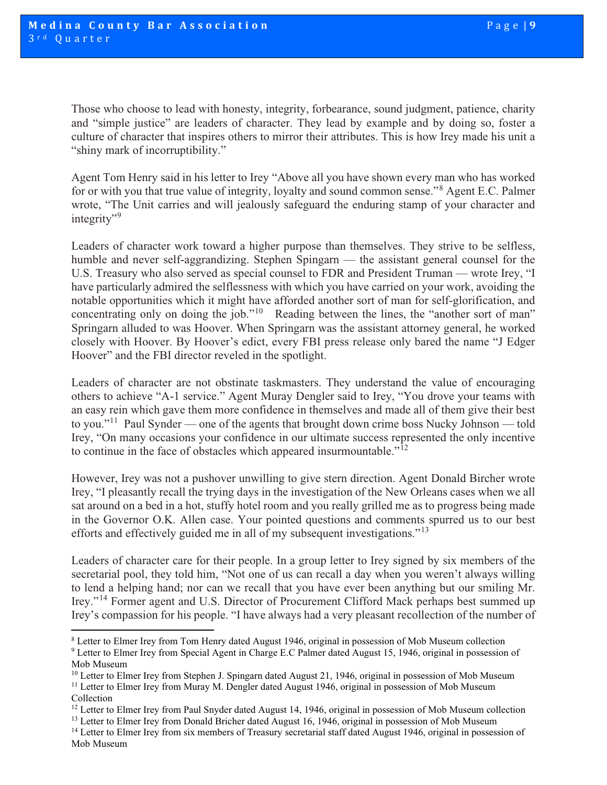Those who choose to lead with honesty, integrity, forbearance, sound judgment, patience, charity and "simple justice" are leaders of character. They lead by example and by doing so, foster a culture of character that inspires others to mirror their attributes. This is how Irey made his unit a "shiny mark of incorruptibility."

Agent Tom Henry said in his letter to Irey "Above all you have shown every man who has worked for or with you that true value of integrity, loyalty and sound common sense."[8](#page-8-0) Agent E.C. Palmer wrote, "The Unit carries and will jealously safeguard the enduring stamp of your character and integrity"<sup>[9](#page-8-1)</sup>

Leaders of character work toward a higher purpose than themselves. They strive to be selfless, humble and never self-aggrandizing. Stephen Spingarn — the assistant general counsel for the U.S. Treasury who also served as special counsel to FDR and President Truman — wrote Irey, "I have particularly admired the selflessness with which you have carried on your work, avoiding the notable opportunities which it might have afforded another sort of man for self-glorification, and concentrating only on doing the job."<sup>[10](#page-8-2)</sup> Reading between the lines, the "another sort of man" Springarn alluded to was Hoover. When Springarn was the assistant attorney general, he worked closely with Hoover. By Hoover's edict, every FBI press release only bared the name "J Edger Hoover" and the FBI director reveled in the spotlight.

Leaders of character are not obstinate taskmasters. They understand the value of encouraging others to achieve "A-1 service." Agent Muray Dengler said to Irey, "You drove your teams with an easy rein which gave them more confidence in themselves and made all of them give their best to you."<sup>[11](#page-8-3)</sup> Paul Synder — one of the agents that brought down crime boss Nucky Johnson — told Irey, "On many occasions your confidence in our ultimate success represented the only incentive to continue in the face of obstacles which appeared insurmountable."[12](#page-8-4) 

However, Irey was not a pushover unwilling to give stern direction. Agent Donald Bircher wrote Irey, "I pleasantly recall the trying days in the investigation of the New Orleans cases when we all sat around on a bed in a hot, stuffy hotel room and you really grilled me as to progress being made in the Governor O.K. Allen case. Your pointed questions and comments spurred us to our best efforts and effectively guided me in all of my subsequent investigations."[13](#page-8-5) 

Leaders of character care for their people. In a group letter to Irey signed by six members of the secretarial pool, they told him, "Not one of us can recall a day when you weren't always willing to lend a helping hand; nor can we recall that you have ever been anything but our smiling Mr. Irey."[14](#page-8-6) Former agent and U.S. Director of Procurement Clifford Mack perhaps best summed up Irey's compassion for his people. "I have always had a very pleasant recollection of the number of

<span id="page-8-0"></span><sup>8</sup> Letter to Elmer Irey from Tom Henry dated August 1946, original in possession of Mob Museum collection <sup>9</sup> Letter to Elmer Irey from Special Agent in Charge E.C Palmer dated August 15, 1946, original in possession of

<span id="page-8-1"></span>Mob Museum

<span id="page-8-2"></span><sup>&</sup>lt;sup>10</sup> Letter to Elmer Irey from Stephen J. Spingarn dated August 21, 1946, original in possession of Mob Museum

<span id="page-8-3"></span><sup>&</sup>lt;sup>11</sup> Letter to Elmer Irey from Muray M. Dengler dated August 1946, original in possession of Mob Museum Collection

<span id="page-8-4"></span><sup>&</sup>lt;sup>12</sup> Letter to Elmer Irey from Paul Snyder dated August 14, 1946, original in possession of Mob Museum collection  $13$  Letter to Elmer Irey from Donald Bricher dated August 16, 1946, original in possession of Mob Museum

<span id="page-8-5"></span>

<span id="page-8-6"></span> $14$  Letter to Elmer Irey from six members of Treasury secretarial staff dated August 1946, original in possession of Mob Museum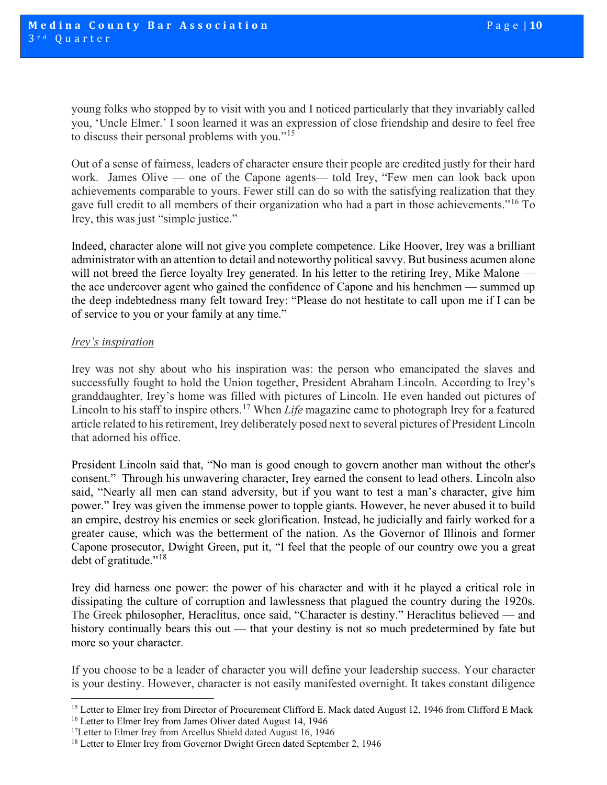young folks who stopped by to visit with you and I noticed particularly that they invariably called you, 'Uncle Elmer.' I soon learned it was an expression of close friendship and desire to feel free to discuss their personal problems with you."[15](#page-9-0) 

Out of a sense of fairness, leaders of character ensure their people are credited justly for their hard work. James Olive — one of the Capone agents— told Irey, "Few men can look back upon achievements comparable to yours. Fewer still can do so with the satisfying realization that they gave full credit to all members of their organization who had a part in those achievements."[16](#page-9-1) To Irey, this was just "simple justice."

Indeed, character alone will not give you complete competence. Like Hoover, Irey was a brilliant administrator with an attention to detail and noteworthy political savvy. But business acumen alone will not breed the fierce loyalty Irey generated. In his letter to the retiring Irey, Mike Malone the ace undercover agent who gained the confidence of Capone and his henchmen — summed up the deep indebtedness many felt toward Irey: "Please do not hestitate to call upon me if I can be of service to you or your family at any time."

#### *Irey's inspiration*

Irey was not shy about who his inspiration was: the person who emancipated the slaves and successfully fought to hold the Union together, President Abraham Lincoln. According to Irey's granddaughter, Irey's home was filled with pictures of Lincoln. He even handed out pictures of Lincoln to his staff to inspire others.<sup>[17](#page-9-2)</sup> When *Life* magazine came to photograph Irey for a featured article related to his retirement, Irey deliberately posed next to several pictures of President Lincoln that adorned his office.

President Lincoln said that, "No man is good enough to govern another man without the other's consent." Through his unwavering character, Irey earned the consent to lead others. Lincoln also said, "Nearly all men can stand adversity, but if you want to test a man's character, give him power." Irey was given the immense power to topple giants. However, he never abused it to build an empire, destroy his enemies or seek glorification. Instead, he judicially and fairly worked for a greater cause, which was the betterment of the nation. As the Governor of Illinois and former Capone prosecutor, Dwight Green, put it, "I feel that the people of our country owe you a great debt of gratitude."<sup>[18](#page-9-3)</sup>

Irey did harness one power: the power of his character and with it he played a critical role in dissipating the culture of corruption and lawlessness that plagued the country during the 1920s. The Greek philosopher, Heraclitus, once said, "Character is destiny." Heraclitus believed — and history continually bears this out — that your destiny is not so much predetermined by fate but more so your character.

If you choose to be a leader of character you will define your leadership success. Your character is your destiny. However, character is not easily manifested overnight. It takes constant diligence

<span id="page-9-1"></span><span id="page-9-0"></span><sup>&</sup>lt;sup>15</sup> Letter to Elmer Irey from Director of Procurement Clifford E. Mack dated August 12, 1946 from Clifford E Mack <sup>16</sup> Letter to Elmer Irey from James Oliver dated August 14, 1946

<span id="page-9-2"></span><sup>&</sup>lt;sup>17</sup>Letter to Elmer Irey from Arcellus Shield dated August 16, 1946

<span id="page-9-3"></span><sup>&</sup>lt;sup>18</sup> Letter to Elmer Irey from Governor Dwight Green dated September 2, 1946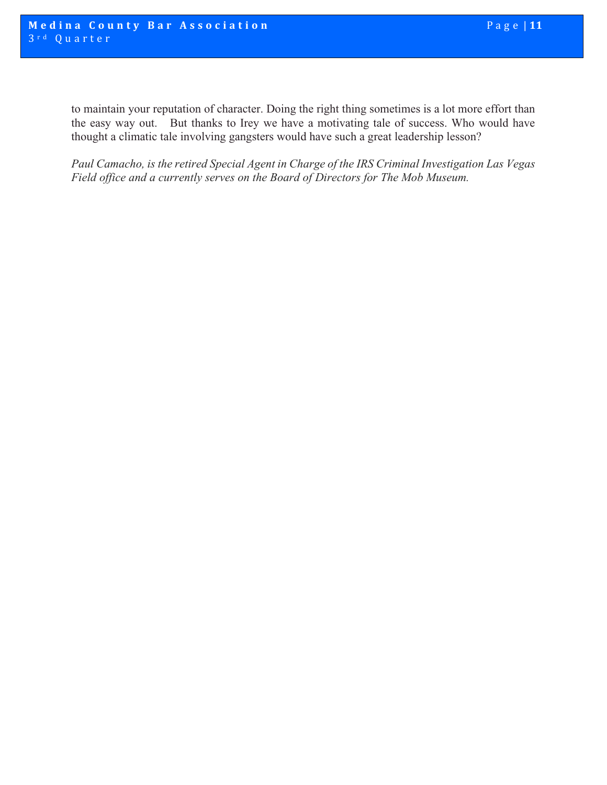to maintain your reputation of character. Doing the right thing sometimes is a lot more effort than the easy way out. But thanks to Irey we have a motivating tale of success. Who would have thought a climatic tale involving gangsters would have such a great leadership lesson?

*Paul Camacho, is the retired Special Agent in Charge of the IRS Criminal Investigation Las Vegas Field office and a currently serves on the Board of Directors for The Mob Museum.*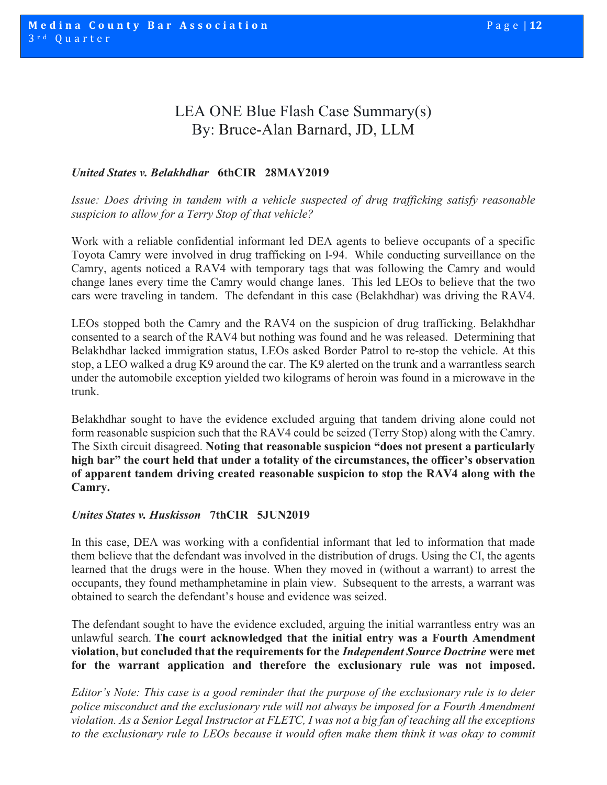### LEA ONE Blue Flash Case Summary(s) By: Bruce-Alan Barnard, JD, LLM

#### *United States v. Belakhdhar* **6thCIR 28MAY2019**

*Issue: Does driving in tandem with a vehicle suspected of drug trafficking satisfy reasonable suspicion to allow for a Terry Stop of that vehicle?*

Work with a reliable confidential informant led DEA agents to believe occupants of a specific Toyota Camry were involved in drug trafficking on I-94. While conducting surveillance on the Camry, agents noticed a RAV4 with temporary tags that was following the Camry and would change lanes every time the Camry would change lanes. This led LEOs to believe that the two cars were traveling in tandem. The defendant in this case (Belakhdhar) was driving the RAV4.

LEOs stopped both the Camry and the RAV4 on the suspicion of drug trafficking. Belakhdhar consented to a search of the RAV4 but nothing was found and he was released. Determining that Belakhdhar lacked immigration status, LEOs asked Border Patrol to re-stop the vehicle. At this stop, a LEO walked a drug K9 around the car. The K9 alerted on the trunk and a warrantless search under the automobile exception yielded two kilograms of heroin was found in a microwave in the trunk.

Belakhdhar sought to have the evidence excluded arguing that tandem driving alone could not form reasonable suspicion such that the RAV4 could be seized (Terry Stop) along with the Camry. The Sixth circuit disagreed. **Noting that reasonable suspicion "does not present a particularly high bar" the court held that under a totality of the circumstances, the officer's observation of apparent tandem driving created reasonable suspicion to stop the RAV4 along with the Camry.**

#### *Unites States v. Huskisson* **7thCIR 5JUN2019**

In this case, DEA was working with a confidential informant that led to information that made them believe that the defendant was involved in the distribution of drugs. Using the CI, the agents learned that the drugs were in the house. When they moved in (without a warrant) to arrest the occupants, they found methamphetamine in plain view. Subsequent to the arrests, a warrant was obtained to search the defendant's house and evidence was seized.

The defendant sought to have the evidence excluded, arguing the initial warrantless entry was an unlawful search. **The court acknowledged that the initial entry was a Fourth Amendment violation, but concluded that the requirements for the** *Independent Source Doctrine* **were met for the warrant application and therefore the exclusionary rule was not imposed.**

*Editor's Note: This case is a good reminder that the purpose of the exclusionary rule is to deter police misconduct and the exclusionary rule will not always be imposed for a Fourth Amendment violation. As a Senior Legal Instructor at FLETC, I was not a big fan of teaching all the exceptions to the exclusionary rule to LEOs because it would often make them think it was okay to commit*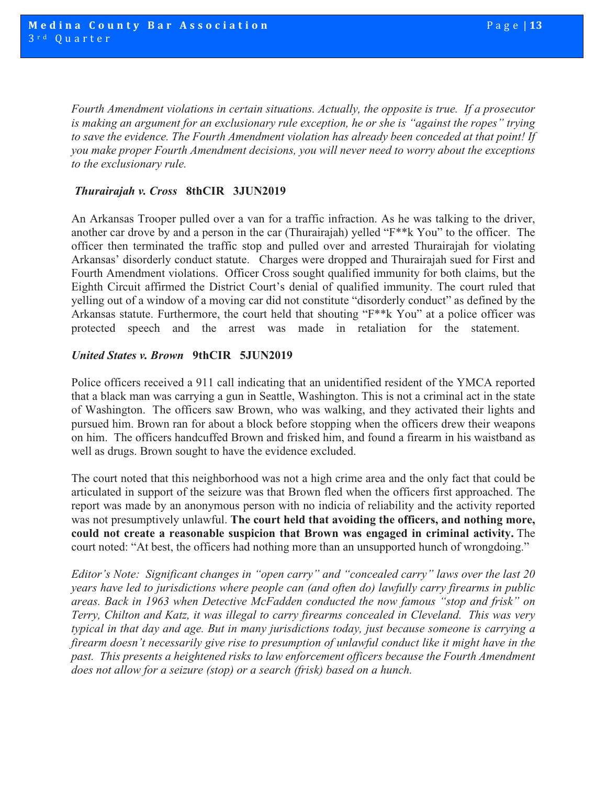*Fourth Amendment violations in certain situations. Actually, the opposite is true. If a prosecutor is making an argument for an exclusionary rule exception, he or she is "against the ropes" trying to save the evidence. The Fourth Amendment violation has already been conceded at that point! If you make proper Fourth Amendment decisions, you will never need to worry about the exceptions to the exclusionary rule.* 

#### *Thurairajah v. Cross* **8thCIR 3JUN2019**

An Arkansas Trooper pulled over a van for a traffic infraction. As he was talking to the driver, another car drove by and a person in the car (Thurairajah) yelled "F\*\*k You" to the officer. The officer then terminated the traffic stop and pulled over and arrested Thurairajah for violating Arkansas' disorderly conduct statute. Charges were dropped and Thurairajah sued for First and Fourth Amendment violations. Officer Cross sought qualified immunity for both claims, but the Eighth Circuit affirmed the District Court's denial of qualified immunity. The court ruled that yelling out of a window of a moving car did not constitute "disorderly conduct" as defined by the Arkansas statute. Furthermore, the court held that shouting "F\*\*k You" at a police officer was protected speech and the arrest was made in retaliation for the statement.

#### *United States v. Brown* **9thCIR 5JUN2019**

Police officers received a 911 call indicating that an unidentified resident of the YMCA reported that a black man was carrying a gun in Seattle, Washington. This is not a criminal act in the state of Washington. The officers saw Brown, who was walking, and they activated their lights and pursued him. Brown ran for about a block before stopping when the officers drew their weapons on him. The officers handcuffed Brown and frisked him, and found a firearm in his waistband as well as drugs. Brown sought to have the evidence excluded.

The court noted that this neighborhood was not a high crime area and the only fact that could be articulated in support of the seizure was that Brown fled when the officers first approached. The report was made by an anonymous person with no indicia of reliability and the activity reported was not presumptively unlawful. **The court held that avoiding the officers, and nothing more, could not create a reasonable suspicion that Brown was engaged in criminal activity.** The court noted: "At best, the officers had nothing more than an unsupported hunch of wrongdoing."

*Editor's Note: Significant changes in "open carry" and "concealed carry" laws over the last 20 years have led to jurisdictions where people can (and often do) lawfully carry firearms in public areas. Back in 1963 when Detective McFadden conducted the now famous "stop and frisk" on Terry, Chilton and Katz, it was illegal to carry firearms concealed in Cleveland. This was very typical in that day and age. But in many jurisdictions today, just because someone is carrying a firearm doesn't necessarily give rise to presumption of unlawful conduct like it might have in the past. This presents a heightened risks to law enforcement officers because the Fourth Amendment does not allow for a seizure (stop) or a search (frisk) based on a hunch.*